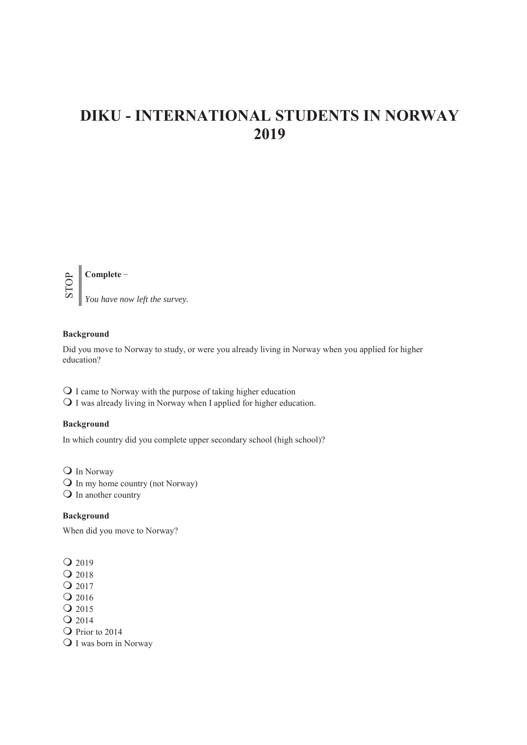# **DIKU - INTERNATIONAL STUDENTS IN NORWAY 2019**



# **Background**

Did you move to Norway to study, or were you already living in Norway when you applied for higher education?

 $\bigcirc$  I came to Norway with the purpose of taking higher education  $\overline{O}$  I was already living in Norway when I applied for higher education.

#### **Background**

In which country did you complete upper secondary school (high school)?

Q In Norway  $\overrightarrow{O}$  In my home country (not Norway) Q In another country

## **Background**

When did you move to Norway?

 $Q$  2019

- Q 2018
- Q 2017
- $Q$  2016

Q 2015

Q 2014

Q Prior to 2014

Q I was born in Norway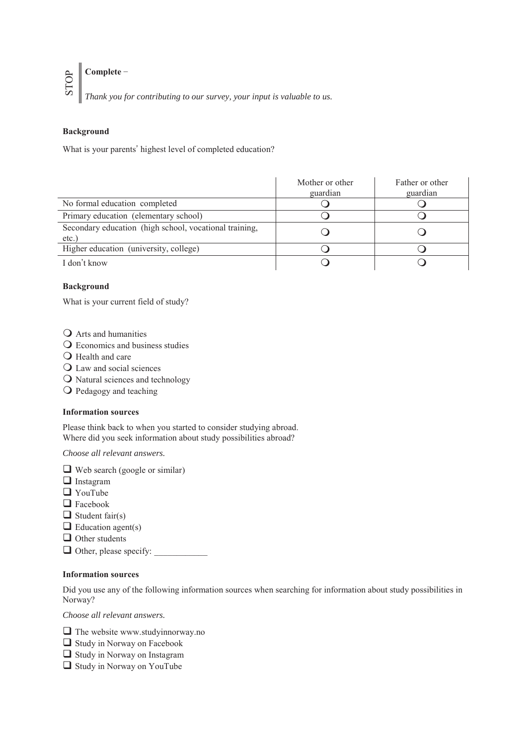# STOP  $\mathbb{C}$  Complete  $\mathbb{-}$

*Thank you for contributing to our survey, your input is valuable to us.*

# **Background**

What is your parents' highest level of completed education?

|                                                                    | Mother or other<br>guardian | Father or other<br>guardian |
|--------------------------------------------------------------------|-----------------------------|-----------------------------|
| No formal education completed                                      |                             |                             |
| Primary education (elementary school)                              |                             |                             |
| Secondary education (high school, vocational training,<br>$etc.$ ) |                             |                             |
| Higher education (university, college)                             |                             |                             |
| I don't know                                                       |                             |                             |

## **Background**

What is your current field of study?

- **Q** Arts and humanities
- Q Economics and business studies
- $\bigcirc$  Health and care
- Law and social sciences
- O Natural sciences and technology
- Pedagogy and teaching

#### **Information sources**

Please think back to when you started to consider studying abroad. Where did you seek information about study possibilities abroad?

*Choose all relevant answers.* 

 $\Box$  Web search (google or similar)

- **I**nstagram
- **O** YouTube
- □ Facebook
- $\Box$  Student fair(s)
- $\Box$  Education agent(s)
- $\Box$  Other students
- $\Box$  Other, please specify:

## **Information sources**

Did you use any of the following information sources when searching for information about study possibilities in Norway?

*Choose all relevant answers.* 

- The website www.studyinnorway.no
- Study in Norway on Facebook
- $\Box$  Study in Norway on Instagram
- Study in Norway on YouTube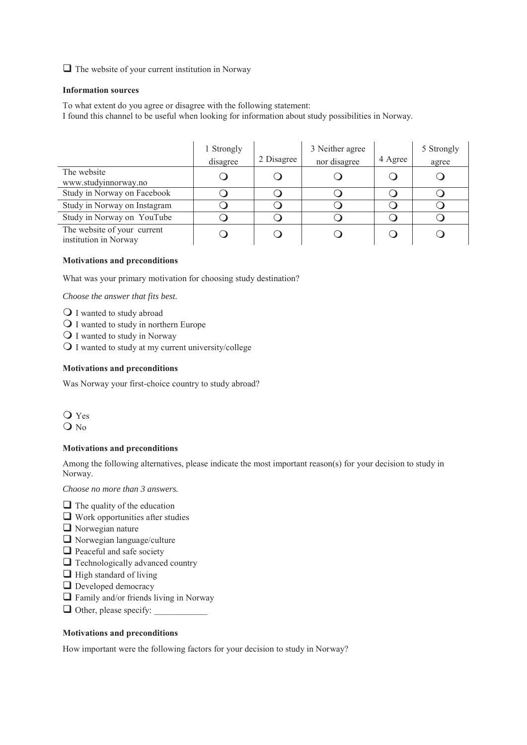$\Box$  The website of your current institution in Norway

#### **Information sources**

To what extent do you agree or disagree with the following statement: I found this channel to be useful when looking for information about study possibilities in Norway.

|                                                      | 1 Strongly<br>disagree | 2 Disagree | 3 Neither agree<br>nor disagree | 4 Agree | 5 Strongly<br>agree |
|------------------------------------------------------|------------------------|------------|---------------------------------|---------|---------------------|
| The website<br>www.studyinnorway.no                  |                        |            |                                 |         |                     |
| Study in Norway on Facebook                          |                        |            |                                 |         |                     |
| Study in Norway on Instagram                         |                        |            |                                 |         |                     |
| Study in Norway on YouTube                           |                        |            |                                 |         |                     |
| The website of your current<br>institution in Norway |                        |            |                                 |         |                     |

#### **Motivations and preconditions**

What was your primary motivation for choosing study destination?

*Choose the answer that fits best.* 

- Q I wanted to study abroad
- Q I wanted to study in northern Europe
- Q I wanted to study in Norway
- I wanted to study at my current university/college

#### **Motivations and preconditions**

Was Norway your first-choice country to study abroad?

 Yes O No

#### **Motivations and preconditions**

Among the following alternatives, please indicate the most important reason(s) for your decision to study in Norway.

*Choose no more than 3 answers.* 

- $\Box$  The quality of the education
- Work opportunities after studies
- Norwegian nature
- Norwegian language/culture
- $\Box$  Peaceful and safe society
- $\Box$  Technologically advanced country
- $\Box$  High standard of living
- **D** Developed democracy
- $\Box$  Family and/or friends living in Norway
- $\Box$  Other, please specify:

# **Motivations and preconditions**

How important were the following factors for your decision to study in Norway?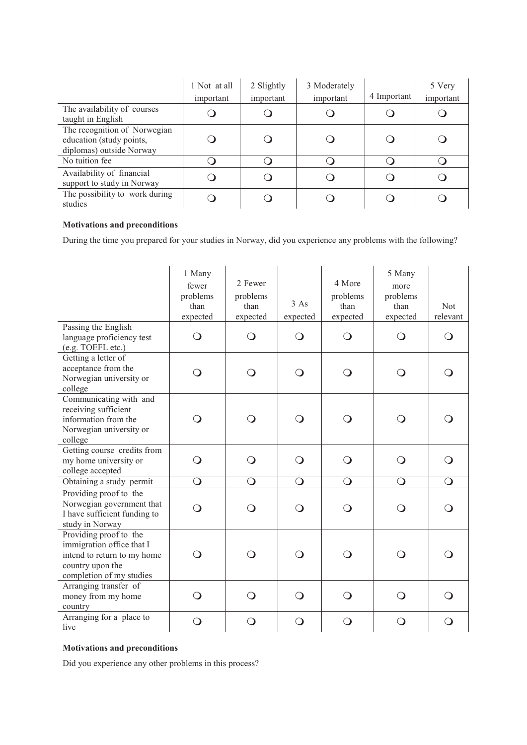|                                                                                      | 1 Not at all<br>important | 2 Slightly<br>important | 3 Moderately<br>important | 4 Important | 5 Very<br>important |
|--------------------------------------------------------------------------------------|---------------------------|-------------------------|---------------------------|-------------|---------------------|
| The availability of courses<br>taught in English                                     |                           |                         |                           |             |                     |
| The recognition of Norwegian<br>education (study points,<br>diplomas) outside Norway |                           |                         |                           |             |                     |
| No tuition fee                                                                       |                           |                         |                           |             |                     |
| Availability of financial<br>support to study in Norway                              |                           |                         |                           |             |                     |
| The possibility to work during<br>studies                                            |                           |                         |                           |             |                     |

# **Motivations and preconditions**

During the time you prepared for your studies in Norway, did you experience any problems with the following?

|                                                                                                                                    | 1 Many<br>fewer<br>problems<br>than<br>expected | 2 Fewer<br>problems<br>than<br>expected | 3 As<br>expected | 4 More<br>problems<br>than<br>expected | 5 Many<br>more<br>problems<br>than<br>expected | <b>Not</b><br>relevant |
|------------------------------------------------------------------------------------------------------------------------------------|-------------------------------------------------|-----------------------------------------|------------------|----------------------------------------|------------------------------------------------|------------------------|
| Passing the English<br>language proficiency test<br>(e.g. TOEFL etc.)                                                              | $\bigcirc$                                      | $\bigcirc$                              | $\bigcirc$       | $\bigcirc$                             | $\bigcirc$                                     | $\Omega$               |
| Getting a letter of<br>acceptance from the<br>Norwegian university or<br>college                                                   | $\bigcirc$                                      | $\mathsf{O}$                            | ∩                | $\bigcirc$                             | Q                                              |                        |
| Communicating with and<br>receiving sufficient<br>information from the<br>Norwegian university or<br>college                       | ∩                                               | $\Omega$                                | ∩                | O                                      | ∩                                              |                        |
| Getting course credits from<br>my home university or<br>college accepted                                                           | $\bigcirc$                                      | $\bigcirc$                              | ∩                | $\bigcirc$                             | ∩                                              |                        |
| Obtaining a study permit                                                                                                           | $\bigcirc$                                      | $\bigcirc$                              | $\bigcirc$       | $\bigcirc$                             | $\bigcirc$                                     | $\bigcirc$             |
| Providing proof to the<br>Norwegian government that<br>I have sufficient funding to<br>study in Norway                             | ∩                                               | $\Omega$                                | ∩                | O                                      | ∩                                              |                        |
| Providing proof to the<br>immigration office that I<br>intend to return to my home<br>country upon the<br>completion of my studies | $\Omega$                                        | $\mathsf{O}$                            | ∩                | $\bigcirc$                             | ∩                                              |                        |
| Arranging transfer of<br>money from my home<br>country                                                                             | $\bigcirc$                                      | $\bigcirc$                              | $\mathbf C$      | $\bigcirc$                             | ∩                                              |                        |
| Arranging for a place to<br>live                                                                                                   | $\bigcirc$                                      | $\bigcirc$                              | $\bigcirc$       | $\bigcirc$                             | O                                              | $\Omega$               |

# **Motivations and preconditions**

Did you experience any other problems in this process?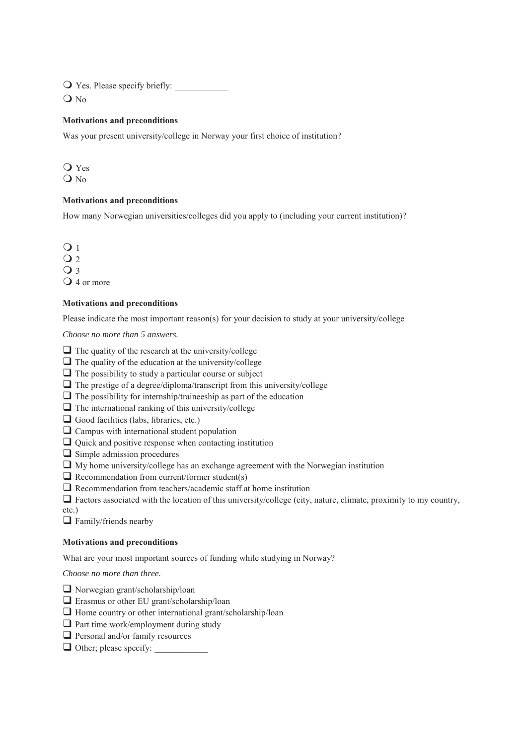$\bigcirc$  Yes. Please specify briefly:

O No

# **Motivations and preconditions**

Was your present university/college in Norway your first choice of institution?

 Yes  $Q$ <sub>No</sub>

#### **Motivations and preconditions**

How many Norwegian universities/colleges did you apply to (including your current institution)?

 $\overline{O}1$ 

 $Q<sub>2</sub>$ 

 $Q_3$ 

 $\Omega$  4 or more

## **Motivations and preconditions**

Please indicate the most important reason(s) for your decision to study at your university/college

*Choose no more than 5 answers.* 

- $\Box$  The quality of the research at the university/college
- $\Box$  The quality of the education at the university/college
- $\Box$  The possibility to study a particular course or subject
- $\Box$  The prestige of a degree/diploma/transcript from this university/college
- $\Box$  The possibility for internship/traineeship as part of the education
- $\Box$  The international ranking of this university/college
- $\Box$  Good facilities (labs, libraries, etc.)
- $\Box$  Campus with international student population
- Quick and positive response when contacting institution
- $\Box$  Simple admission procedures
- $\Box$  My home university/college has an exchange agreement with the Norwegian institution
- $\Box$  Recommendation from current/former student(s)
- Recommendation from teachers/academic staff at home institution
- $\Box$  Factors associated with the location of this university/college (city, nature, climate, proximity to my country,
- etc.)

 $\Box$  Family/friends nearby

#### **Motivations and preconditions**

What are your most important sources of funding while studying in Norway?

*Choose no more than three.* 

- Norwegian grant/scholarship/loan
- Erasmus or other EU grant/scholarship/loan
- $\Box$  Home country or other international grant/scholarship/loan
- $\Box$  Part time work/employment during study
- $\Box$  Personal and/or family resources
- $\Box$  Other; please specify: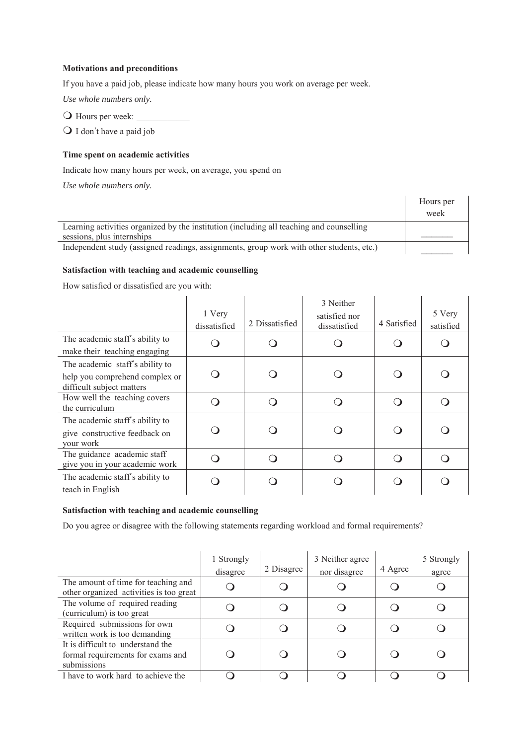## **Motivations and preconditions**

If you have a paid job, please indicate how many hours you work on average per week.

*Use whole numbers only.* 

 $\bigcirc$  Hours per week:

 $\bigcirc$  I don't have a paid job

# **Time spent on academic activities**

Indicate how many hours per week, on average, you spend on

*Use whole numbers only.* 

|                                                                                          | Hours per |
|------------------------------------------------------------------------------------------|-----------|
|                                                                                          | week      |
| Learning activities organized by the institution (including all teaching and counselling |           |
| sessions, plus internships                                                               |           |
| Independent study (assigned readings, assignments, group work with other students, etc.) |           |

# **Satisfaction with teaching and academic counselling**

How satisfied or dissatisfied are you with:

|                                                                                                | 1 Very<br>dissatisfied | 2 Dissatisfied | 3 Neither<br>satisfied nor<br>dissatisfied | 4 Satisfied | 5 Very<br>satisfied |
|------------------------------------------------------------------------------------------------|------------------------|----------------|--------------------------------------------|-------------|---------------------|
| The academic staff's ability to<br>make their teaching engaging                                |                        |                |                                            |             |                     |
| The academic staff's ability to<br>help you comprehend complex or<br>difficult subject matters |                        |                |                                            |             |                     |
| How well the teaching covers<br>the curriculum                                                 |                        |                |                                            |             |                     |
| The academic staff's ability to<br>give constructive feedback on<br>your work                  |                        |                |                                            |             |                     |
| The guidance academic staff<br>give you in your academic work                                  |                        |                |                                            |             |                     |
| The academic staff's ability to<br>teach in English                                            |                        |                |                                            |             |                     |

## **Satisfaction with teaching and academic counselling**

Do you agree or disagree with the following statements regarding workload and formal requirements?

|                                                                                       | 1 Strongly<br>disagree | 2 Disagree | 3 Neither agree<br>nor disagree | 4 Agree | 5 Strongly<br>agree |
|---------------------------------------------------------------------------------------|------------------------|------------|---------------------------------|---------|---------------------|
| The amount of time for teaching and<br>other organized activities is too great        |                        |            |                                 |         |                     |
| The volume of required reading<br>(curriculum) is too great                           |                        |            |                                 |         |                     |
| Required submissions for own<br>written work is too demanding                         |                        |            |                                 |         |                     |
| It is difficult to understand the<br>formal requirements for exams and<br>submissions |                        |            |                                 |         |                     |
| I have to work hard to achieve the                                                    |                        |            |                                 |         |                     |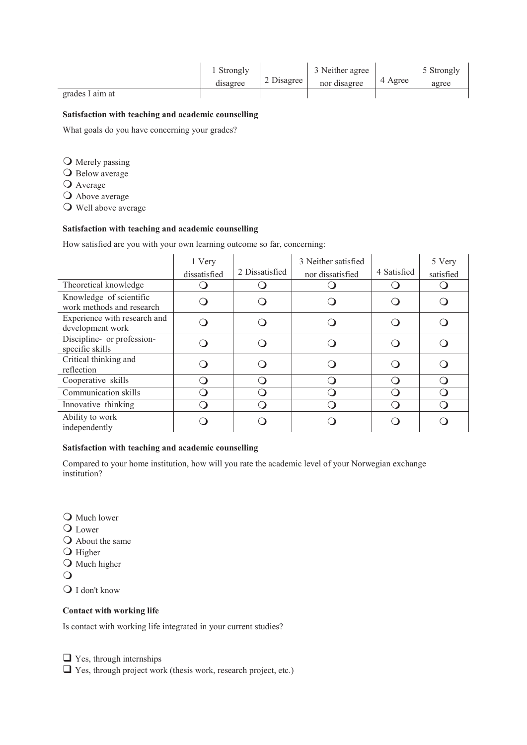|                 | . Strongly |            | 3 Neither agree |         | 5 Strongly |
|-----------------|------------|------------|-----------------|---------|------------|
|                 | disagree   | 2 Disagree | nor disagree    | 4 Agree | agree      |
| grades I aim at |            |            |                 |         |            |

## **Satisfaction with teaching and academic counselling**

What goals do you have concerning your grades?

**O** Merely passing

- O Below average
- Average

Above average

Well above average

# **Satisfaction with teaching and academic counselling**

How satisfied are you with your own learning outcome so far, concerning:

|                                                      | 1 Very<br>dissatisfied | 2 Dissatisfied | 3 Neither satisfied<br>nor dissatisfied | 4 Satisfied | 5 Very<br>satisfied |
|------------------------------------------------------|------------------------|----------------|-----------------------------------------|-------------|---------------------|
| Theoretical knowledge                                |                        |                |                                         |             |                     |
| Knowledge of scientific<br>work methods and research |                        |                |                                         |             |                     |
| Experience with research and<br>development work     |                        |                |                                         |             |                     |
| Discipline- or profession-<br>specific skills        |                        |                |                                         |             |                     |
| Critical thinking and<br>reflection                  |                        |                |                                         |             |                     |
| Cooperative skills                                   |                        |                |                                         |             |                     |
| Communication skills                                 |                        |                |                                         |             |                     |
| Innovative thinking                                  |                        |                |                                         |             |                     |
| Ability to work<br>independently                     |                        |                |                                         |             |                     |

## **Satisfaction with teaching and academic counselling**

Compared to your home institution, how will you rate the academic level of your Norwegian exchange institution?

**O** Much lower

Q Lower

- Q About the same
- **O** Higher
- **O** Much higher

 $\bigcirc$ 

Q I don't know

#### **Contact with working life**

Is contact with working life integrated in your current studies?

 $\Box$  Yes, through internships

Yes, through project work (thesis work, research project, etc.)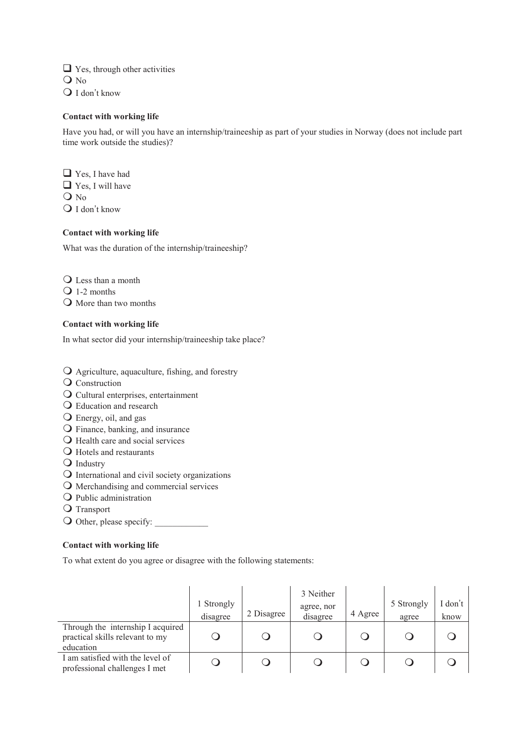$\Box$  Yes, through other activities  $Q$  No  $\bigcirc$  I don't know

## **Contact with working life**

Have you had, or will you have an internship/traineeship as part of your studies in Norway (does not include part time work outside the studies)?

■ Yes, I have had ■ Yes, I will have  $Q$  N<sub>0</sub>  $\overline{O}$  I don't know

# **Contact with working life**

What was the duration of the internship/traineeship?

Q Less than a month

Q 1-2 months

O More than two months

## **Contact with working life**

In what sector did your internship/traineeship take place?

Agriculture, aquaculture, fishing, and forestry

- Q Construction
- Cultural enterprises, entertainment
- Education and research
- Energy, oil, and gas
- Finance, banking, and insurance
- O Health care and social services
- Hotels and restaurants
- **O** Industry
- International and civil society organizations
- Merchandising and commercial services
- **O** Public administration
- Q Transport

O Other, please specify:

# **Contact with working life**

To what extent do you agree or disagree with the following statements:

|                                                                                   | 1 Strongly<br>disagree | 2 Disagree | 3 Neither<br>agree, nor<br>disagree | 4 Agree | 5 Strongly<br>agree | don't<br>know |
|-----------------------------------------------------------------------------------|------------------------|------------|-------------------------------------|---------|---------------------|---------------|
| Through the internship I acquired<br>practical skills relevant to my<br>education |                        |            |                                     |         |                     |               |
| I am satisfied with the level of<br>professional challenges I met                 |                        |            |                                     |         |                     |               |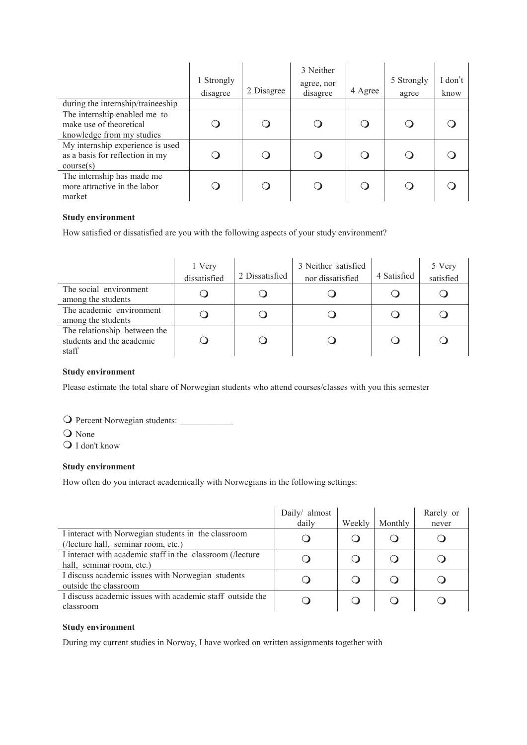|                                                                                      | 1 Strongly<br>disagree | 2 Disagree | 3 Neither<br>agree, nor<br>disagree | 4 Agree | 5 Strongly<br>agree | I don't<br>know |
|--------------------------------------------------------------------------------------|------------------------|------------|-------------------------------------|---------|---------------------|-----------------|
| during the internship/traineeship                                                    |                        |            |                                     |         |                     |                 |
| The internship enabled me to<br>make use of theoretical<br>knowledge from my studies |                        |            |                                     |         |                     |                 |
| My internship experience is used<br>as a basis for reflection in my<br>course(s)     |                        |            |                                     |         |                     |                 |
| The internship has made me<br>more attractive in the labor<br>market                 |                        |            |                                     |         |                     |                 |

# **Study environment**

How satisfied or dissatisfied are you with the following aspects of your study environment?

|                                                                    | 1 Very<br>dissatisfied | 2 Dissatisfied | 3 Neither satisfied<br>nor dissatisfied | 4 Satisfied | 5 Very<br>satisfied |
|--------------------------------------------------------------------|------------------------|----------------|-----------------------------------------|-------------|---------------------|
| The social environment<br>among the students                       |                        |                |                                         |             |                     |
| The academic environment<br>among the students                     |                        |                |                                         |             |                     |
| The relationship between the<br>students and the academic<br>staff |                        |                |                                         |             |                     |

#### **Study environment**

Please estimate the total share of Norwegian students who attend courses/classes with you this semester

O Percent Norwegian students:

O None

I don't know

#### **Study environment**

How often do you interact academically with Norwegians in the following settings:

|                                                                                            | Daily/ almost<br>daily | Weekly | Monthly | Rarely or<br>never |
|--------------------------------------------------------------------------------------------|------------------------|--------|---------|--------------------|
| I interact with Norwegian students in the classroom<br>(/lecture hall, seminar room, etc.) |                        |        |         |                    |
| I interact with academic staff in the classroom (/lecture<br>hall, seminar room, etc.)     |                        |        |         |                    |
| I discuss academic issues with Norwegian students<br>outside the classroom                 |                        |        |         |                    |
| I discuss academic issues with academic staff outside the<br>classroom                     |                        |        |         |                    |

## **Study environment**

During my current studies in Norway, I have worked on written assignments together with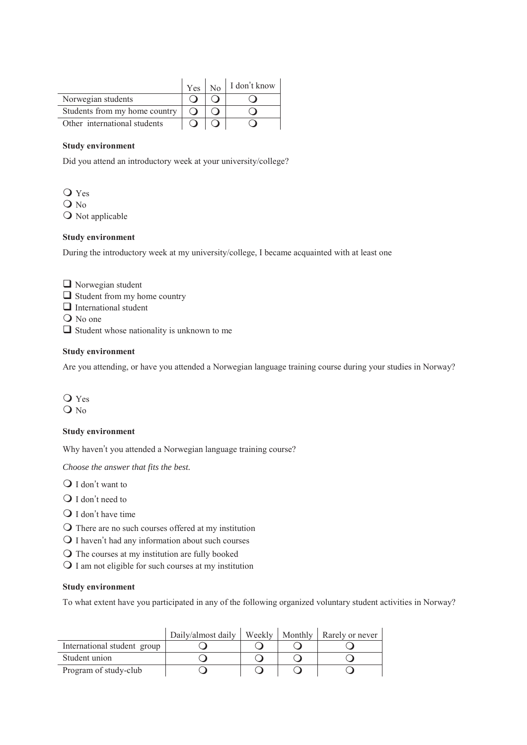|                               |  | $Y$ es   No   I don't know |
|-------------------------------|--|----------------------------|
| Norwegian students            |  |                            |
| Students from my home country |  |                            |
| Other international students  |  |                            |

#### **Study environment**

Did you attend an introductory week at your university/college?

 Yes O No O Not applicable

#### **Study environment**

During the introductory week at my university/college, I became acquainted with at least one

- Norwegian student
- $\Box$  Student from my home country
- $\Box$  International student
- Q No one
- $\Box$  Student whose nationality is unknown to me

#### **Study environment**

Are you attending, or have you attended a Norwegian language training course during your studies in Norway?

 Yes  $Q$  No

#### **Study environment**

Why haven't you attended a Norwegian language training course?

*Choose the answer that fits the best.* 

 $\bigcirc$  I don't want to

- $\bigcirc$  I don't need to
- $\bigcirc$  I don't have time
- There are no such courses offered at my institution
- $\bigcirc$  I haven't had any information about such courses
- The courses at my institution are fully booked
- $\bigcirc$  I am not eligible for such courses at my institution

#### **Study environment**

To what extent have you participated in any of the following organized voluntary student activities in Norway?

|                             | Daily/almost daily | Weekly | Monthly   Rarely or never |
|-----------------------------|--------------------|--------|---------------------------|
| International student group |                    |        |                           |
| Student union               |                    |        |                           |
| Program of study-club       |                    |        |                           |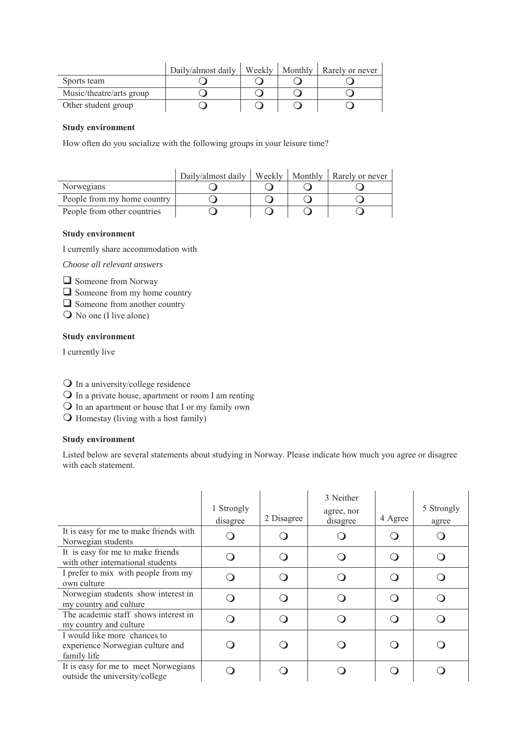|                          | Daily/almost daily | Weekly | Monthly   Rarely or never |
|--------------------------|--------------------|--------|---------------------------|
| Sports team              |                    |        |                           |
| Music/theatre/arts group |                    |        |                           |
| Other student group      |                    |        |                           |

#### **Study environment**

How often do you socialize with the following groups in your leisure time?

|                             | Daily/almost daily | Weekly 1 | Monthly   Rarely or never |
|-----------------------------|--------------------|----------|---------------------------|
| Norwegians                  |                    |          |                           |
| People from my home country |                    |          |                           |
| People from other countries |                    |          |                           |

#### **Study environment**

I currently share accommodation with

*Choose all relevant answers* 

**Q** Someone from Norway

 $\Box$  Someone from my home country

■ Someone from another country

No one (I live alone)

## **Study environment**

I currently live

In a university/college residence

In a private house, apartment or room I am renting

In an apartment or house that I or my family own

Homestay (living with a host family)

#### **Study environment**

Listed below are several statements about studying in Norway. Please indicate how much you agree or disagree with each statement.

| It is easy for me to make friends with<br>Norwegian students                    | 1 Strongly<br>disagree | 2 Disagree | 3 Neither<br>agree, nor<br>disagree | 4 Agree | 5 Strongly<br>agree |
|---------------------------------------------------------------------------------|------------------------|------------|-------------------------------------|---------|---------------------|
| It is easy for me to make friends<br>with other international students          |                        |            |                                     |         |                     |
| I prefer to mix with people from my<br>own culture                              |                        |            |                                     |         |                     |
| Norwegian students show interest in<br>my country and culture                   |                        |            |                                     |         |                     |
| The academic staff shows interest in<br>my country and culture                  |                        |            |                                     |         |                     |
| I would like more chances to<br>experience Norwegian culture and<br>family life |                        |            |                                     |         |                     |
| It is easy for me to meet Norwegians<br>outside the university/college          |                        |            |                                     |         |                     |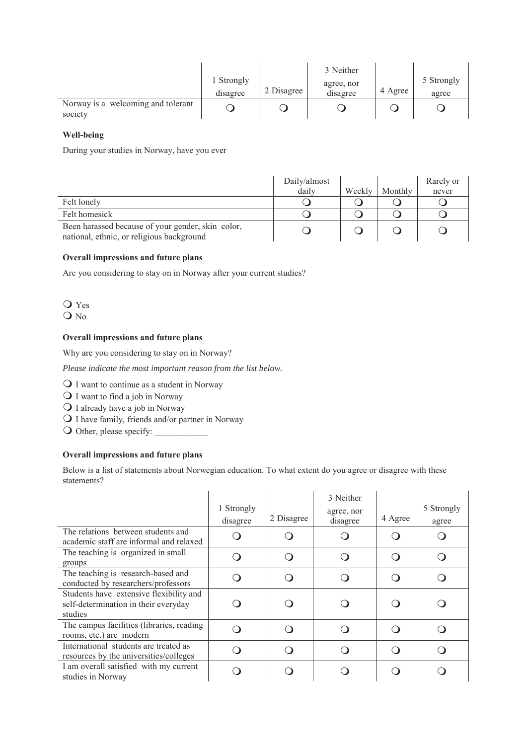|                                               | i Strongly<br>disagree | 2 Disagree | 3 Neither<br>agree, nor<br>disagree | 4 Agree | 5 Strongly<br>agree |
|-----------------------------------------------|------------------------|------------|-------------------------------------|---------|---------------------|
| Norway is a welcoming and tolerant<br>society |                        |            |                                     |         |                     |

### **Well-being**

During your studies in Norway, have you ever

|                                                                                                | Daily/almost |        |         | Rarely or |
|------------------------------------------------------------------------------------------------|--------------|--------|---------|-----------|
|                                                                                                | daily        | Weekly | Monthly | never     |
| Felt lonely                                                                                    |              |        |         |           |
| Felt homesick                                                                                  |              |        |         |           |
| Been harassed because of your gender, skin color,<br>national, ethnic, or religious background |              |        |         |           |

# **Overall impressions and future plans**

Are you considering to stay on in Norway after your current studies?

 Yes  $Q$  No

# **Overall impressions and future plans**

Why are you considering to stay on in Norway?

*Please indicate the most important reason from the list below.* 

Q I want to continue as a student in Norway

 $\bigcirc$  I want to find a job in Norway

I already have a job in Norway

I have family, friends and/or partner in Norway

O Other, please specify:

# **Overall impressions and future plans**

Below is a list of statements about Norwegian education. To what extent do you agree or disagree with these statements?

|                                                                                            | 1 Strongly<br>disagree | 2 Disagree | 3 Neither<br>agree, nor<br>disagree | 4 Agree | 5 Strongly<br>agree |
|--------------------------------------------------------------------------------------------|------------------------|------------|-------------------------------------|---------|---------------------|
| The relations between students and<br>academic staff are informal and relaxed              |                        |            |                                     |         |                     |
| The teaching is organized in small<br>groups                                               |                        |            |                                     |         |                     |
| The teaching is research-based and<br>conducted by researchers/professors                  |                        |            |                                     |         |                     |
| Students have extensive flexibility and<br>self-determination in their everyday<br>studies |                        |            |                                     |         |                     |
| The campus facilities (libraries, reading<br>rooms, etc.) are modern                       |                        |            |                                     |         |                     |
| International students are treated as<br>resources by the universities/colleges            |                        |            |                                     |         |                     |
| I am overall satisfied with my current<br>studies in Norway                                |                        |            |                                     |         |                     |